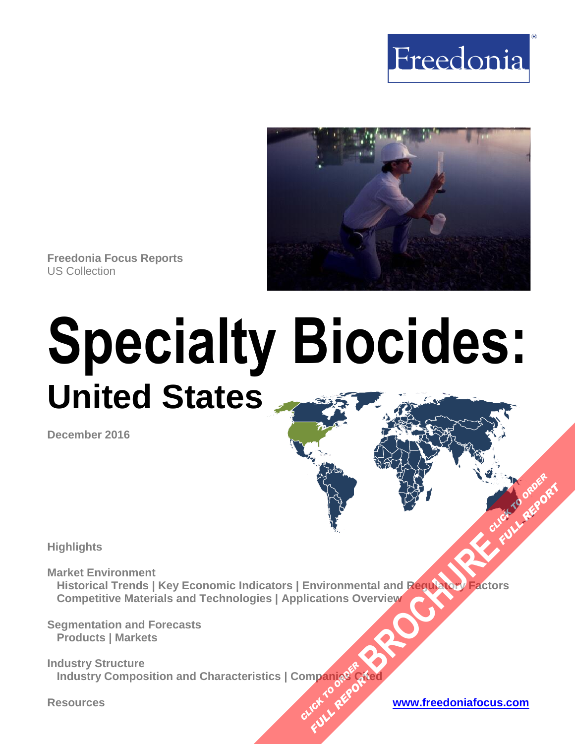



**Freedonia Focus Reports** US Collection

# **Specialty Biocides: United States**

**December 2016**

**Highlights**

**Market Environment Historical Trends | Key Economic Indicators | Environmental and Regulatory Factors Competitive Materials and Technologies | Applications Overview [BROCHURE](http://www.freedoniagroup.com/FocusDetails.aspx?ReferrerId=FM-FocusBro&ReportID=FF35011) AND THE CLICK TO ORDER**<br>DISCRETE AND TO CLICK TO ORDER

**Segmentation and Forecasts Products | Markets**

**Industry Structure Industry Composition and Characteristics | Companies Cited OMPanjages Planage Cartes** 

**FULL REPORT**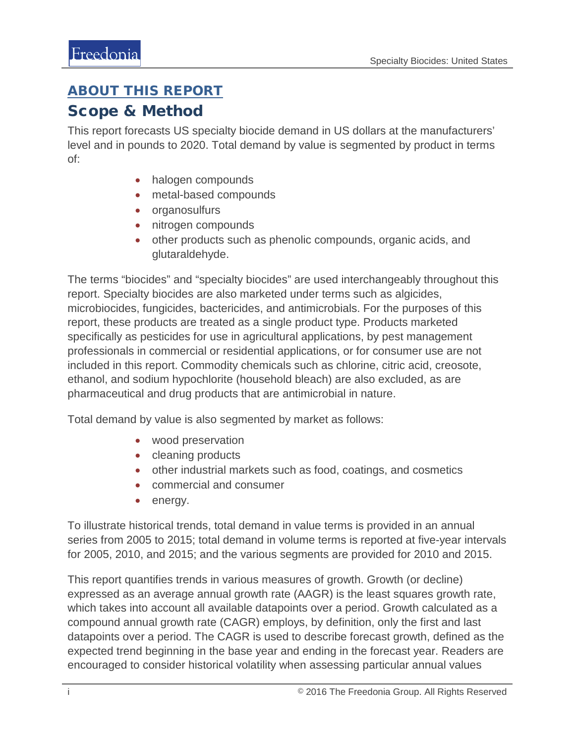## <span id="page-1-0"></span>ABOUT THIS REPORT

## Scope & Method

This report forecasts US specialty biocide demand in US dollars at the manufacturers' level and in pounds to 2020. Total demand by value is segmented by product in terms of:

- halogen compounds
- metal-based compounds
- organosulfurs
- nitrogen compounds
- other products such as phenolic compounds, organic acids, and glutaraldehyde.

The terms "biocides" and "specialty biocides" are used interchangeably throughout this report. Specialty biocides are also marketed under terms such as algicides, microbiocides, fungicides, bactericides, and antimicrobials. For the purposes of this report, these products are treated as a single product type. Products marketed specifically as pesticides for use in agricultural applications, by pest management professionals in commercial or residential applications, or for consumer use are not included in this report. Commodity chemicals such as chlorine, citric acid, creosote, ethanol, and sodium hypochlorite (household bleach) are also excluded, as are pharmaceutical and drug products that are antimicrobial in nature.

Total demand by value is also segmented by market as follows:

- wood preservation
- cleaning products
- other industrial markets such as food, coatings, and cosmetics
- commercial and consumer
- energy.

To illustrate historical trends, total demand in value terms is provided in an annual series from 2005 to 2015; total demand in volume terms is reported at five-year intervals for 2005, 2010, and 2015; and the various segments are provided for 2010 and 2015.

This report quantifies trends in various measures of growth. Growth (or decline) expressed as an average annual growth rate (AAGR) is the least squares growth rate, which takes into account all available datapoints over a period. Growth calculated as a compound annual growth rate (CAGR) employs, by definition, only the first and last datapoints over a period. The CAGR is used to describe forecast growth, defined as the expected trend beginning in the base year and ending in the forecast year. Readers are encouraged to consider historical volatility when assessing particular annual values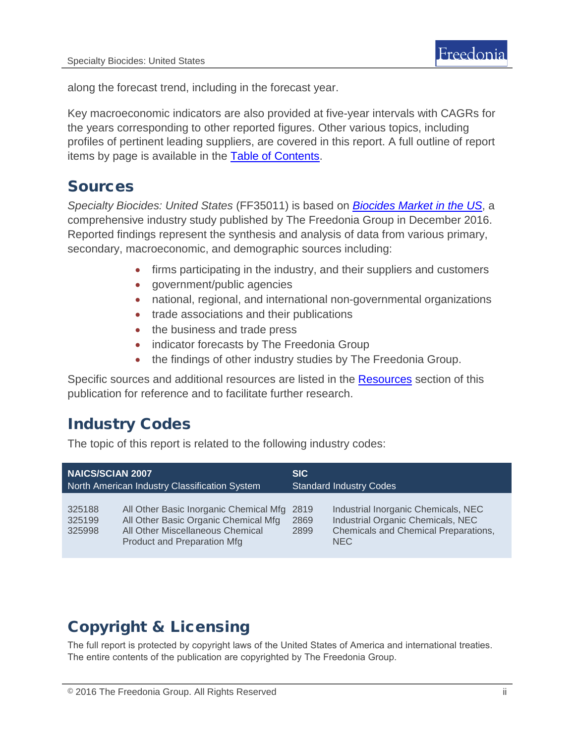along the forecast trend, including in the forecast year.

Key macroeconomic indicators are also provided at five-year intervals with CAGRs for the years corresponding to other reported figures. Other various topics, including profiles of pertinent leading suppliers, are covered in this report. A full outline of report items by page is available in the [Table of Contents.](#page-3-0)

## Sources

*Specialty Biocides: United States* (FF35011) is based on *[Biocides Market in the US](http://www.freedoniagroup.com/DocumentDetails.aspx?ReferrerId=FL-FOCUS&studyid=3457)*, a comprehensive industry study published by The Freedonia Group in December 2016. Reported findings represent the synthesis and analysis of data from various primary, secondary, macroeconomic, and demographic sources including:

- firms participating in the industry, and their suppliers and customers
- government/public agencies
- national, regional, and international non-governmental organizations
- trade associations and their publications
- the business and trade press
- indicator forecasts by The Freedonia Group
- the findings of other industry studies by The Freedonia Group.

Specific sources and additional resources are listed in the [Resources](#page-4-0) section of this publication for reference and to facilitate further research.

## Industry Codes

The topic of this report is related to the following industry codes:

| <b>NAICS/SCIAN 2007</b>                       |                                                                                                                                                   | <b>SIC</b>                     |                                                                                                                                |
|-----------------------------------------------|---------------------------------------------------------------------------------------------------------------------------------------------------|--------------------------------|--------------------------------------------------------------------------------------------------------------------------------|
| North American Industry Classification System |                                                                                                                                                   | <b>Standard Industry Codes</b> |                                                                                                                                |
| 325188<br>325199<br>325998                    | All Other Basic Inorganic Chemical Mfg<br>All Other Basic Organic Chemical Mfg<br>All Other Miscellaneous Chemical<br>Product and Preparation Mfg | 2819<br>2869<br>2899           | Industrial Inorganic Chemicals, NEC<br>Industrial Organic Chemicals, NEC<br>Chemicals and Chemical Preparations,<br><b>NEC</b> |

# Copyright & Licensing

The full report is protected by copyright laws of the United States of America and international treaties. The entire contents of the publication are copyrighted by The Freedonia Group.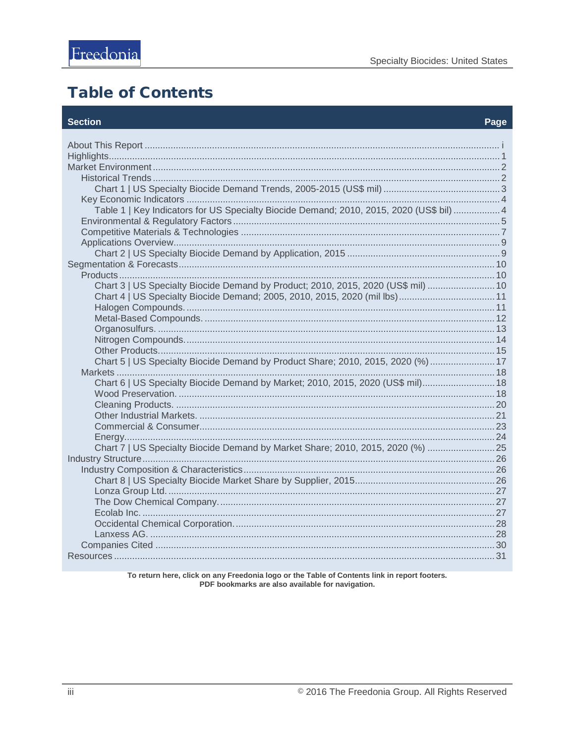# <span id="page-3-0"></span>**Table of Contents**

#### **Section**

#### Page

| Table 1   Key Indicators for US Specialty Biocide Demand; 2010, 2015, 2020 (US\$ bil)  4 |  |  |
|------------------------------------------------------------------------------------------|--|--|
|                                                                                          |  |  |
|                                                                                          |  |  |
|                                                                                          |  |  |
|                                                                                          |  |  |
|                                                                                          |  |  |
|                                                                                          |  |  |
| Chart 3   US Specialty Biocide Demand by Product; 2010, 2015, 2020 (US\$ mil)  10        |  |  |
| Chart 4   US Specialty Biocide Demand; 2005, 2010, 2015, 2020 (mil lbs) 11               |  |  |
|                                                                                          |  |  |
|                                                                                          |  |  |
|                                                                                          |  |  |
|                                                                                          |  |  |
|                                                                                          |  |  |
| Chart 5   US Specialty Biocide Demand by Product Share; 2010, 2015, 2020 (%)  17         |  |  |
|                                                                                          |  |  |
| Chart 6   US Specialty Biocide Demand by Market; 2010, 2015, 2020 (US\$ mil) 18          |  |  |
|                                                                                          |  |  |
|                                                                                          |  |  |
|                                                                                          |  |  |
|                                                                                          |  |  |
|                                                                                          |  |  |
| Chart 7   US Specialty Biocide Demand by Market Share; 2010, 2015, 2020 (%)  25          |  |  |
|                                                                                          |  |  |
|                                                                                          |  |  |
|                                                                                          |  |  |
|                                                                                          |  |  |
|                                                                                          |  |  |
|                                                                                          |  |  |
|                                                                                          |  |  |
|                                                                                          |  |  |
|                                                                                          |  |  |
|                                                                                          |  |  |

To return here, click on any Freedonia logo or the Table of Contents link in report footers.<br>PDF bookmarks are also available for navigation.